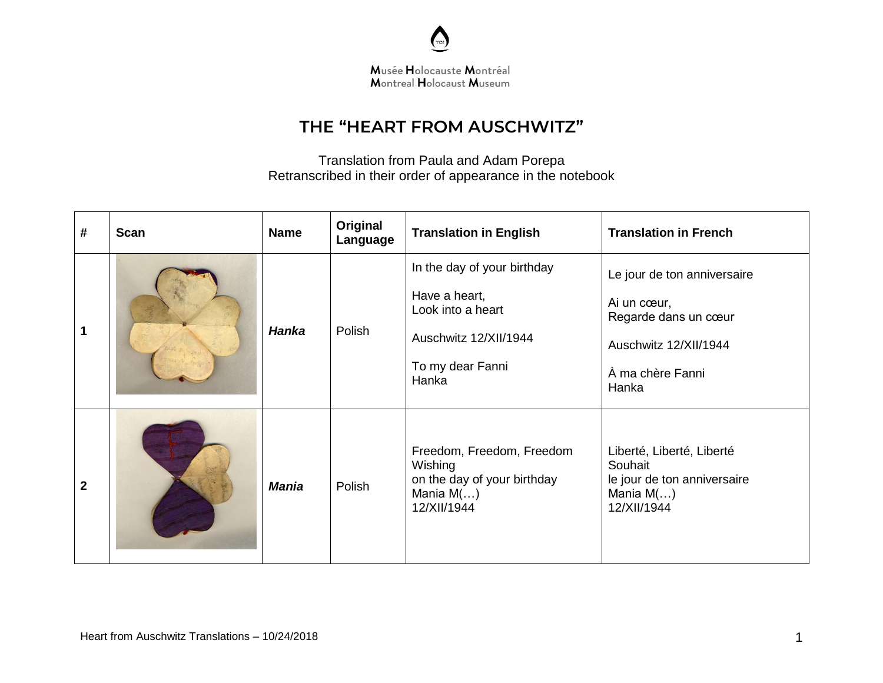

## **THE "HEART FROM AUSCHWITZ"**

Translation from Paula and Adam Porepa Retranscribed in their order of appearance in the notebook

| #              | <b>Scan</b> | <b>Name</b>  | Original<br>Language | <b>Translation in English</b>                                                                                           | <b>Translation in French</b>                                                                                             |
|----------------|-------------|--------------|----------------------|-------------------------------------------------------------------------------------------------------------------------|--------------------------------------------------------------------------------------------------------------------------|
| $\mathbf 1$    |             | <b>Hanka</b> | Polish               | In the day of your birthday<br>Have a heart,<br>Look into a heart<br>Auschwitz 12/XII/1944<br>To my dear Fanni<br>Hanka | Le jour de ton anniversaire<br>Ai un cœur,<br>Regarde dans un cœur<br>Auschwitz 12/XII/1944<br>À ma chère Fanni<br>Hanka |
| $\overline{2}$ |             | <b>Mania</b> | Polish               | Freedom, Freedom, Freedom<br>Wishing<br>on the day of your birthday<br>Mania $M$ ()<br>12/XII/1944                      | Liberté, Liberté, Liberté<br>Souhait<br>le jour de ton anniversaire<br>Mania $M$ ()<br>12/XII/1944                       |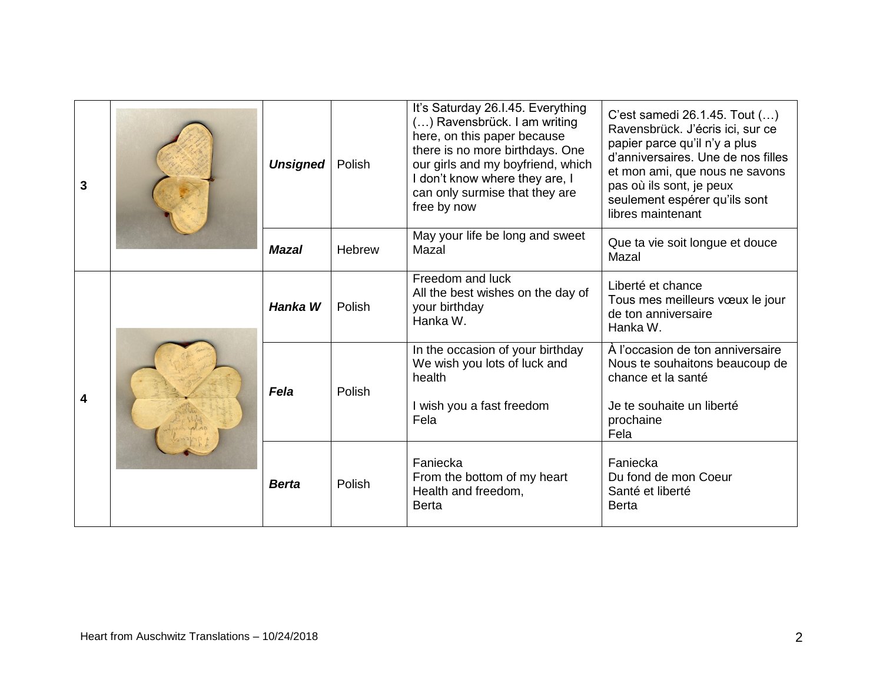| 3 |  | <b>Unsigned</b> | Polish | It's Saturday 26.I.45. Everything<br>() Ravensbrück. I am writing<br>here, on this paper because<br>there is no more birthdays. One<br>our girls and my boyfriend, which<br>I don't know where they are, I<br>can only surmise that they are<br>free by now | C'est samedi 26.1.45. Tout ()<br>Ravensbrück. J'écris ici, sur ce<br>papier parce qu'il n'y a plus<br>d'anniversaires. Une de nos filles<br>et mon ami, que nous ne savons<br>pas où ils sont, je peux<br>seulement espérer qu'ils sont<br>libres maintenant |
|---|--|-----------------|--------|-------------------------------------------------------------------------------------------------------------------------------------------------------------------------------------------------------------------------------------------------------------|--------------------------------------------------------------------------------------------------------------------------------------------------------------------------------------------------------------------------------------------------------------|
|   |  | <b>Mazal</b>    | Hebrew | May your life be long and sweet<br>Mazal                                                                                                                                                                                                                    | Que ta vie soit longue et douce<br>Mazal                                                                                                                                                                                                                     |
| 4 |  | Hanka W         | Polish | Freedom and luck<br>All the best wishes on the day of<br>your birthday<br>Hanka W.                                                                                                                                                                          | Liberté et chance<br>Tous mes meilleurs vœux le jour<br>de ton anniversaire<br>Hanka W.                                                                                                                                                                      |
|   |  | Fela            | Polish | In the occasion of your birthday<br>We wish you lots of luck and<br>health<br>I wish you a fast freedom<br>Fela                                                                                                                                             | À l'occasion de ton anniversaire<br>Nous te souhaitons beaucoup de<br>chance et la santé<br>Je te souhaite un liberté<br>prochaine<br>Fela                                                                                                                   |
|   |  | <b>Berta</b>    | Polish | Faniecka<br>From the bottom of my heart<br>Health and freedom,<br><b>Berta</b>                                                                                                                                                                              | Faniecka<br>Du fond de mon Coeur<br>Santé et liberté<br><b>Berta</b>                                                                                                                                                                                         |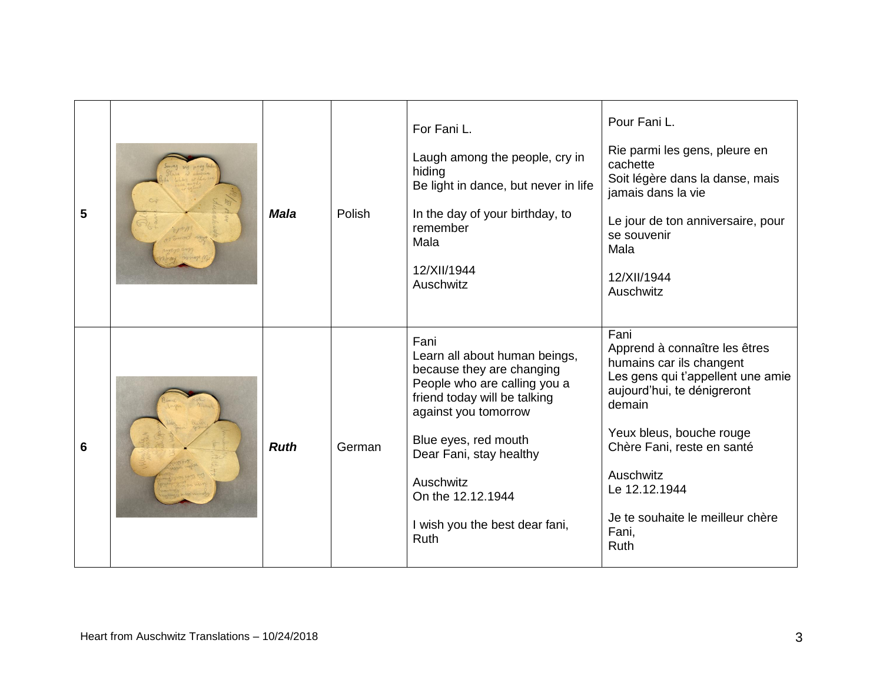| 5               | <b>Mala</b> | Polish | For Fani L.<br>Laugh among the people, cry in<br>hiding<br>Be light in dance, but never in life<br>In the day of your birthday, to<br>remember<br>Mala<br>12/XII/1944<br>Auschwitz                                                                                                               | Pour Fani L.<br>Rie parmi les gens, pleure en<br>cachette<br>Soit légère dans la danse, mais<br>jamais dans la vie<br>Le jour de ton anniversaire, pour<br>se souvenir<br>Mala<br>12/XII/1944<br>Auschwitz                                                                                   |
|-----------------|-------------|--------|--------------------------------------------------------------------------------------------------------------------------------------------------------------------------------------------------------------------------------------------------------------------------------------------------|----------------------------------------------------------------------------------------------------------------------------------------------------------------------------------------------------------------------------------------------------------------------------------------------|
| $6\phantom{1}6$ | <b>Ruth</b> | German | Fani<br>Learn all about human beings,<br>because they are changing<br>People who are calling you a<br>friend today will be talking<br>against you tomorrow<br>Blue eyes, red mouth<br>Dear Fani, stay healthy<br>Auschwitz<br>On the 12.12.1944<br>I wish you the best dear fani,<br><b>Ruth</b> | Fani<br>Apprend à connaître les êtres<br>humains car ils changent<br>Les gens qui t'appellent une amie<br>aujourd'hui, te dénigreront<br>demain<br>Yeux bleus, bouche rouge<br>Chère Fani, reste en santé<br>Auschwitz<br>Le 12.12.1944<br>Je te souhaite le meilleur chère<br>Fani,<br>Ruth |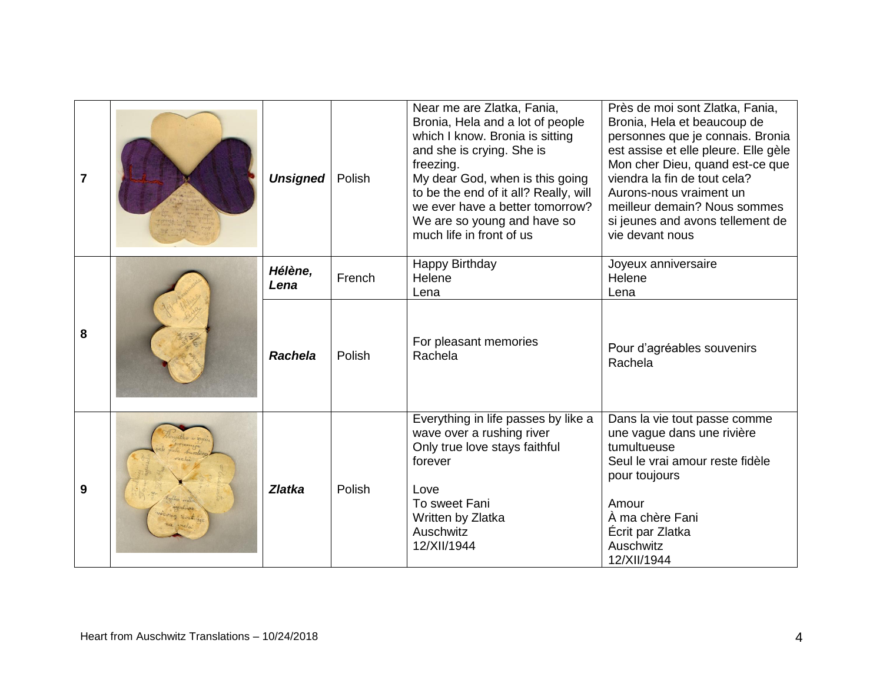| $\overline{7}$ |  | <b>Unsigned</b> | Polish | Near me are Zlatka, Fania,<br>Bronia, Hela and a lot of people<br>which I know. Bronia is sitting<br>and she is crying. She is<br>freezing.<br>My dear God, when is this going<br>to be the end of it all? Really, will<br>we ever have a better tomorrow?<br>We are so young and have so<br>much life in front of us | Près de moi sont Zlatka, Fania,<br>Bronia, Hela et beaucoup de<br>personnes que je connais. Bronia<br>est assise et elle pleure. Elle gèle<br>Mon cher Dieu, quand est-ce que<br>viendra la fin de tout cela?<br>Aurons-nous vraiment un<br>meilleur demain? Nous sommes<br>si jeunes and avons tellement de<br>vie devant nous |
|----------------|--|-----------------|--------|-----------------------------------------------------------------------------------------------------------------------------------------------------------------------------------------------------------------------------------------------------------------------------------------------------------------------|---------------------------------------------------------------------------------------------------------------------------------------------------------------------------------------------------------------------------------------------------------------------------------------------------------------------------------|
| 8              |  | Hélène,<br>Lena | French | Happy Birthday<br>Helene<br>Lena                                                                                                                                                                                                                                                                                      | Joyeux anniversaire<br>Helene<br>Lena                                                                                                                                                                                                                                                                                           |
|                |  | <b>Rachela</b>  | Polish | For pleasant memories<br>Rachela                                                                                                                                                                                                                                                                                      | Pour d'agréables souvenirs<br>Rachela                                                                                                                                                                                                                                                                                           |
| 9              |  | <b>Zlatka</b>   | Polish | Everything in life passes by like a<br>wave over a rushing river<br>Only true love stays faithful<br>forever<br>Love                                                                                                                                                                                                  | Dans la vie tout passe comme<br>une vague dans une rivière<br>tumultueuse<br>Seul le vrai amour reste fidèle<br>pour toujours                                                                                                                                                                                                   |
|                |  |                 |        | To sweet Fani<br>Written by Zlatka<br>Auschwitz<br>12/XII/1944                                                                                                                                                                                                                                                        | Amour<br>À ma chère Fani<br>Écrit par Zlatka<br>Auschwitz<br>12/XII/1944                                                                                                                                                                                                                                                        |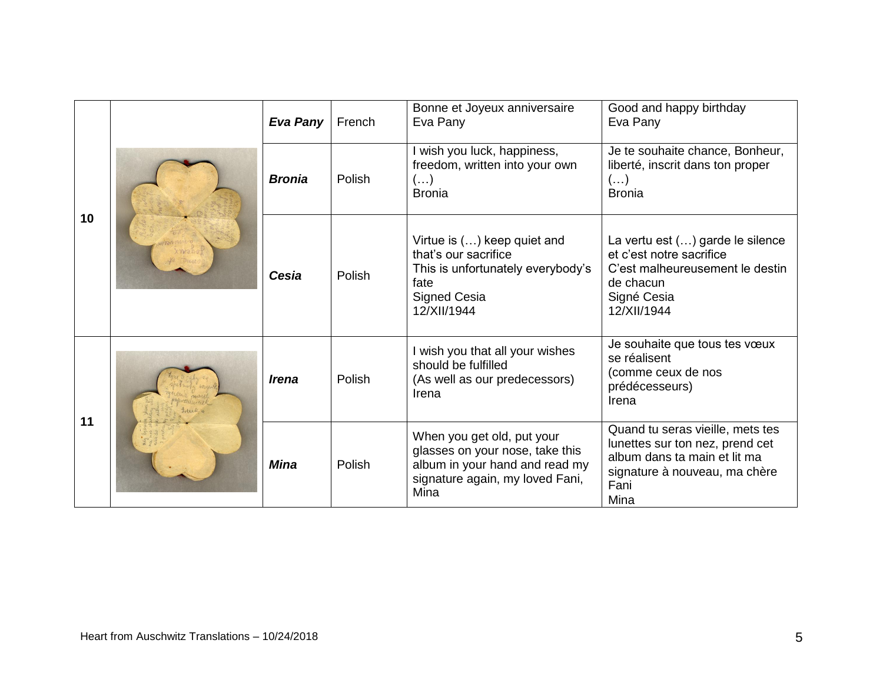| 10 |  | Eva Pany                   | French | Bonne et Joyeux anniversaire<br>Eva Pany                                                                                                   | Good and happy birthday<br>Eva Pany                                                                                                                  |
|----|--|----------------------------|--------|--------------------------------------------------------------------------------------------------------------------------------------------|------------------------------------------------------------------------------------------------------------------------------------------------------|
|    |  | <b>Bronia</b>              | Polish | I wish you luck, happiness,<br>freedom, written into your own<br>$(\ldots)$<br><b>Bronia</b>                                               | Je te souhaite chance, Bonheur,<br>liberté, inscrit dans ton proper<br>$\left( \ldots \right)$<br><b>Bronia</b>                                      |
|    |  | Cesia                      | Polish | Virtue is () keep quiet and<br>that's our sacrifice<br>This is unfortunately everybody's<br>fate<br><b>Signed Cesia</b><br>12/XII/1944     | La vertu est () garde le silence<br>et c'est notre sacrifice<br>C'est malheureusement le destin<br>de chacun<br>Signé Cesia<br>12/XII/1944           |
| 11 |  | <i><u><b>Irena</b></u></i> | Polish | I wish you that all your wishes<br>should be fulfilled<br>(As well as our predecessors)<br>Irena                                           | Je souhaite que tous tes vœux<br>se réalisent<br>(comme ceux de nos<br>prédécesseurs)<br>Irena                                                       |
|    |  | <b>Mina</b>                | Polish | When you get old, put your<br>glasses on your nose, take this<br>album in your hand and read my<br>signature again, my loved Fani,<br>Mina | Quand tu seras vieille, mets tes<br>lunettes sur ton nez, prend cet<br>album dans ta main et lit ma<br>signature à nouveau, ma chère<br>Fani<br>Mina |